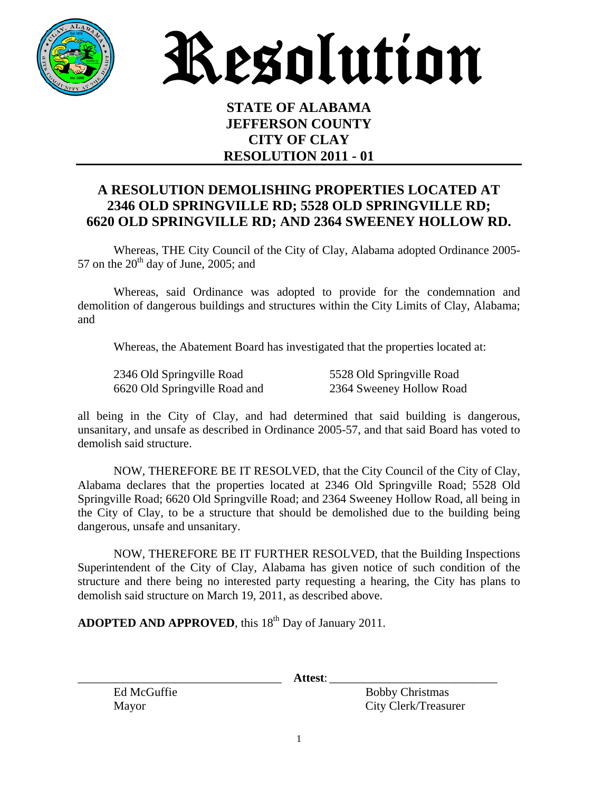

Resolution

## **STATE OF ALABAMA JEFFERSON COUNTY CITY OF CLAY RESOLUTION 2011 - 01**

## **A RESOLUTION DEMOLISHING PROPERTIES LOCATED AT 2346 OLD SPRINGVILLE RD; 5528 OLD SPRINGVILLE RD; 6620 OLD SPRINGVILLE RD; AND 2364 SWEENEY HOLLOW RD.**

 Whereas, THE City Council of the City of Clay, Alabama adopted Ordinance 2005- 57 on the  $20^{th}$  day of June, 2005; and

 Whereas, said Ordinance was adopted to provide for the condemnation and demolition of dangerous buildings and structures within the City Limits of Clay, Alabama; and

Whereas, the Abatement Board has investigated that the properties located at:

| 2346 Old Springville Road     | 5528 Old Springville Road |
|-------------------------------|---------------------------|
| 6620 Old Springville Road and | 2364 Sweeney Hollow Road  |

all being in the City of Clay, and had determined that said building is dangerous, unsanitary, and unsafe as described in Ordinance 2005-57, and that said Board has voted to demolish said structure.

 NOW, THEREFORE BE IT RESOLVED, that the City Council of the City of Clay, Alabama declares that the properties located at 2346 Old Springville Road; 5528 Old Springville Road; 6620 Old Springville Road; and 2364 Sweeney Hollow Road, all being in the City of Clay, to be a structure that should be demolished due to the building being dangerous, unsafe and unsanitary.

 NOW, THEREFORE BE IT FURTHER RESOLVED, that the Building Inspections Superintendent of the City of Clay, Alabama has given notice of such condition of the structure and there being no interested party requesting a hearing, the City has plans to demolish said structure on March 19, 2011, as described above.

**ADOPTED AND APPROVED**, this 18<sup>th</sup> Day of January 2011.

\_\_\_\_\_\_\_\_\_\_\_\_\_\_\_\_\_\_\_\_\_\_\_\_\_\_\_\_\_\_\_\_\_\_ **Attest**: \_\_\_\_\_\_\_\_\_\_\_\_\_\_\_\_\_\_\_\_\_\_\_\_\_\_\_\_

Ed McGuffie Bobby Christmas Mayor City Clerk/Treasurer